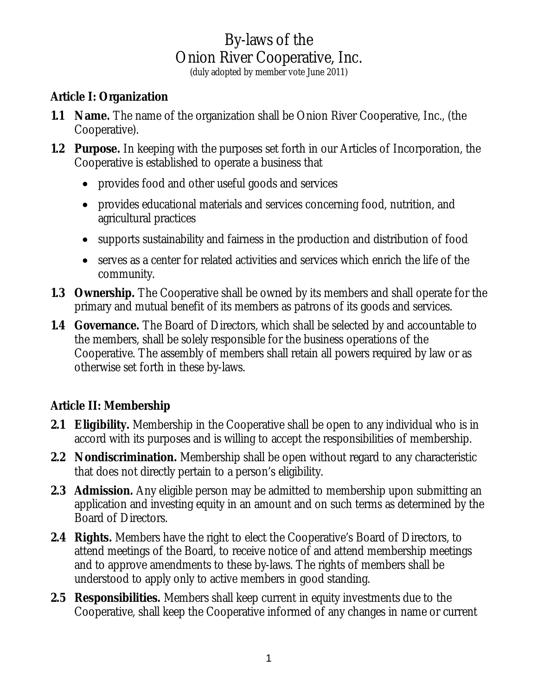(duly adopted by member vote June 2011)

### **Article I: Organization**

- **1.1 Name.** The name of the organization shall be Onion River Cooperative, Inc., (the Cooperative).
- **1.2 Purpose.** In keeping with the purposes set forth in our Articles of Incorporation, the Cooperative is established to operate a business that
	- provides food and other useful goods and services
	- provides educational materials and services concerning food, nutrition, and agricultural practices
	- supports sustainability and fairness in the production and distribution of food
	- serves as a center for related activities and services which enrich the life of the community.
- **1.3 Ownership.** The Cooperative shall be owned by its members and shall operate for the primary and mutual benefit of its members as patrons of its goods and services.
- **1.4 Governance.** The Board of Directors, which shall be selected by and accountable to the members, shall be solely responsible for the business operations of the Cooperative. The assembly of members shall retain all powers required by law or as otherwise set forth in these by-laws.

### **Article II: Membership**

- **2.1 Eligibility.** Membership in the Cooperative shall be open to any individual who is in accord with its purposes and is willing to accept the responsibilities of membership.
- **2.2 Nondiscrimination.** Membership shall be open without regard to any characteristic that does not directly pertain to a person's eligibility.
- **2.3 Admission.** Any eligible person may be admitted to membership upon submitting an application and investing equity in an amount and on such terms as determined by the Board of Directors.
- **2.4 Rights.** Members have the right to elect the Cooperative's Board of Directors, to attend meetings of the Board, to receive notice of and attend membership meetings and to approve amendments to these by-laws. The rights of members shall be understood to apply only to active members in good standing.
- **2.5 Responsibilities.** Members shall keep current in equity investments due to the Cooperative, shall keep the Cooperative informed of any changes in name or current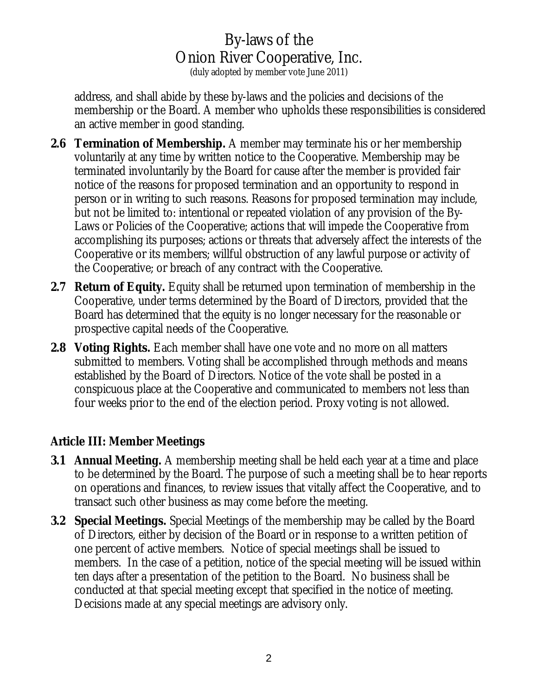(duly adopted by member vote June 2011)

address, and shall abide by these by-laws and the policies and decisions of the membership or the Board. A member who upholds these responsibilities is considered an active member in good standing.

- **2.6 Termination of Membership.** A member may terminate his or her membership voluntarily at any time by written notice to the Cooperative. Membership may be terminated involuntarily by the Board for cause after the member is provided fair notice of the reasons for proposed termination and an opportunity to respond in person or in writing to such reasons. Reasons for proposed termination may include, but not be limited to: intentional or repeated violation of any provision of the By-Laws or Policies of the Cooperative; actions that will impede the Cooperative from accomplishing its purposes; actions or threats that adversely affect the interests of the Cooperative or its members; willful obstruction of any lawful purpose or activity of the Cooperative; or breach of any contract with the Cooperative.
- **2.7 Return of Equity.** Equity shall be returned upon termination of membership in the Cooperative, under terms determined by the Board of Directors, provided that the Board has determined that the equity is no longer necessary for the reasonable or prospective capital needs of the Cooperative.
- **2.8 Voting Rights.** Each member shall have one vote and no more on all matters submitted to members. Voting shall be accomplished through methods and means established by the Board of Directors. Notice of the vote shall be posted in a conspicuous place at the Cooperative and communicated to members not less than four weeks prior to the end of the election period. Proxy voting is not allowed.

### **Article III: Member Meetings**

- **3.1 Annual Meeting.** A membership meeting shall be held each year at a time and place to be determined by the Board. The purpose of such a meeting shall be to hear reports on operations and finances, to review issues that vitally affect the Cooperative, and to transact such other business as may come before the meeting.
- **3.2 Special Meetings.** Special Meetings of the membership may be called by the Board of Directors, either by decision of the Board or in response to a written petition of one percent of active members. Notice of special meetings shall be issued to members. In the case of a petition, notice of the special meeting will be issued within ten days after a presentation of the petition to the Board. No business shall be conducted at that special meeting except that specified in the notice of meeting. Decisions made at any special meetings are advisory only.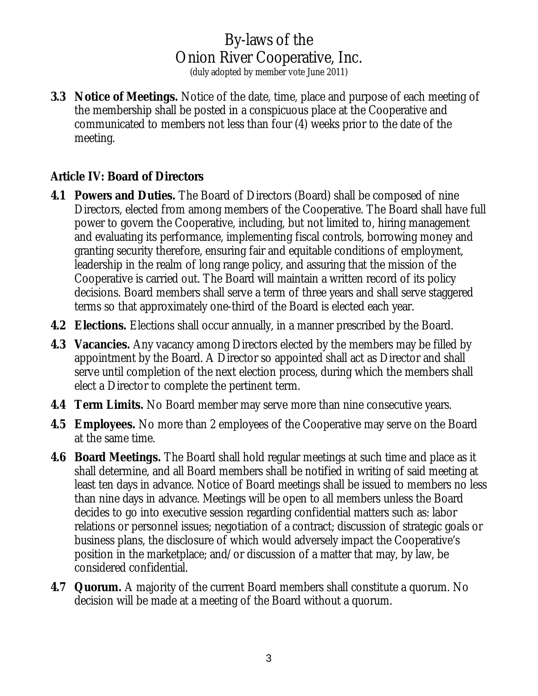(duly adopted by member vote June 2011)

**3.3 Notice of Meetings.** Notice of the date, time, place and purpose of each meeting of the membership shall be posted in a conspicuous place at the Cooperative and communicated to members not less than four (4) weeks prior to the date of the meeting.

#### **Article IV: Board of Directors**

- **4.1 Powers and Duties.** The Board of Directors (Board) shall be composed of nine Directors, elected from among members of the Cooperative. The Board shall have full power to govern the Cooperative, including, but not limited to, hiring management and evaluating its performance, implementing fiscal controls, borrowing money and granting security therefore, ensuring fair and equitable conditions of employment, leadership in the realm of long range policy, and assuring that the mission of the Cooperative is carried out. The Board will maintain a written record of its policy decisions. Board members shall serve a term of three years and shall serve staggered terms so that approximately one-third of the Board is elected each year.
- **4.2 Elections.** Elections shall occur annually, in a manner prescribed by the Board.
- **4.3 Vacancies.** Any vacancy among Directors elected by the members may be filled by appointment by the Board. A Director so appointed shall act as Director and shall serve until completion of the next election process, during which the members shall elect a Director to complete the pertinent term.
- **4.4 Term Limits.** No Board member may serve more than nine consecutive years.
- **4.5 Employees.** No more than 2 employees of the Cooperative may serve on the Board at the same time.
- **4.6 Board Meetings.** The Board shall hold regular meetings at such time and place as it shall determine, and all Board members shall be notified in writing of said meeting at least ten days in advance. Notice of Board meetings shall be issued to members no less than nine days in advance. Meetings will be open to all members unless the Board decides to go into executive session regarding confidential matters such as: labor relations or personnel issues; negotiation of a contract; discussion of strategic goals or business plans, the disclosure of which would adversely impact the Cooperative's position in the marketplace; and/or discussion of a matter that may, by law, be considered confidential.
- **4.7 Quorum.** A majority of the current Board members shall constitute a quorum. No decision will be made at a meeting of the Board without a quorum.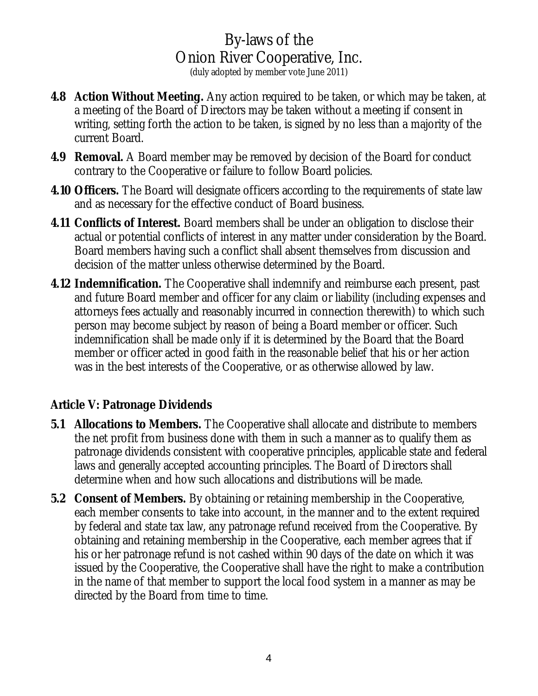(duly adopted by member vote June 2011)

- **4.8 Action Without Meeting.** Any action required to be taken, or which may be taken, at a meeting of the Board of Directors may be taken without a meeting if consent in writing, setting forth the action to be taken, is signed by no less than a majority of the current Board.
- **4.9 Removal.** A Board member may be removed by decision of the Board for conduct contrary to the Cooperative or failure to follow Board policies.
- **4.10 Officers.** The Board will designate officers according to the requirements of state law and as necessary for the effective conduct of Board business.
- **4.11 Conflicts of Interest.** Board members shall be under an obligation to disclose their actual or potential conflicts of interest in any matter under consideration by the Board. Board members having such a conflict shall absent themselves from discussion and decision of the matter unless otherwise determined by the Board.
- **4.12 Indemnification.** The Cooperative shall indemnify and reimburse each present, past and future Board member and officer for any claim or liability (including expenses and attorneys fees actually and reasonably incurred in connection therewith) to which such person may become subject by reason of being a Board member or officer. Such indemnification shall be made only if it is determined by the Board that the Board member or officer acted in good faith in the reasonable belief that his or her action was in the best interests of the Cooperative, or as otherwise allowed by law.

#### **Article V: Patronage Dividends**

- **5.1 Allocations to Members.** The Cooperative shall allocate and distribute to members the net profit from business done with them in such a manner as to qualify them as patronage dividends consistent with cooperative principles, applicable state and federal laws and generally accepted accounting principles. The Board of Directors shall determine when and how such allocations and distributions will be made.
- **5.2 Consent of Members.** By obtaining or retaining membership in the Cooperative, each member consents to take into account, in the manner and to the extent required by federal and state tax law, any patronage refund received from the Cooperative. By obtaining and retaining membership in the Cooperative, each member agrees that if his or her patronage refund is not cashed within 90 days of the date on which it was issued by the Cooperative, the Cooperative shall have the right to make a contribution in the name of that member to support the local food system in a manner as may be directed by the Board from time to time.